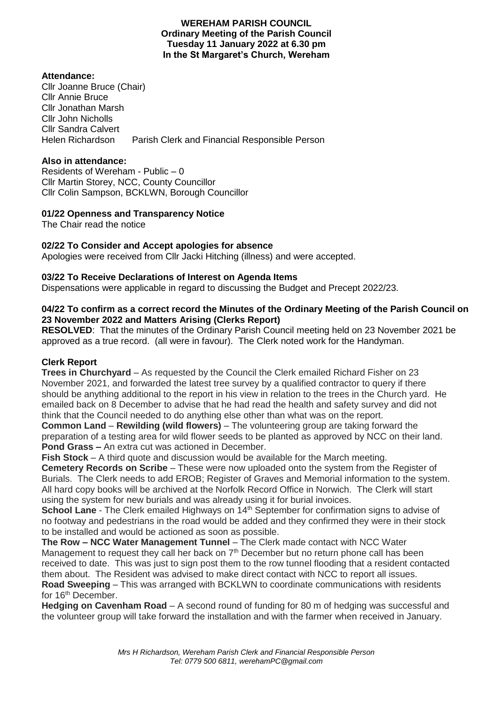#### **WEREHAM PARISH COUNCIL Ordinary Meeting of the Parish Council Tuesday 11 January 2022 at 6.30 pm In the St Margaret's Church, Wereham**

### **Attendance:**

Cllr Joanne Bruce (Chair) Cllr Annie Bruce Cllr Jonathan Marsh Cllr John Nicholls Cllr Sandra Calvert Helen Richardson Parish Clerk and Financial Responsible Person

# **Also in attendance:**

Residents of Wereham - Public – 0 Cllr Martin Storey, NCC, County Councillor Cllr Colin Sampson, BCKLWN, Borough Councillor

# **01/22 Openness and Transparency Notice**

The Chair read the notice

# **02/22 To Consider and Accept apologies for absence**

Apologies were received from Cllr Jacki Hitching (illness) and were accepted.

# **03/22 To Receive Declarations of Interest on Agenda Items**

Dispensations were applicable in regard to discussing the Budget and Precept 2022/23.

### **04/22 To confirm as a correct record the Minutes of the Ordinary Meeting of the Parish Council on 23 November 2022 and Matters Arising (Clerks Report)**

**RESOLVED**: That the minutes of the Ordinary Parish Council meeting held on 23 November 2021 be approved as a true record. (all were in favour). The Clerk noted work for the Handyman.

# **Clerk Report**

**Trees in Churchyard** – As requested by the Council the Clerk emailed Richard Fisher on 23 November 2021, and forwarded the latest tree survey by a qualified contractor to query if there should be anything additional to the report in his view in relation to the trees in the Church yard. He emailed back on 8 December to advise that he had read the health and safety survey and did not think that the Council needed to do anything else other than what was on the report.

**Common Land – Rewilding (wild flowers) – The volunteering group are taking forward the** preparation of a testing area for wild flower seeds to be planted as approved by NCC on their land. **Pond Grass –** An extra cut was actioned in December.

**Fish Stock** – A third quote and discussion would be available for the March meeting.

**Cemetery Records on Scribe** – These were now uploaded onto the system from the Register of Burials. The Clerk needs to add EROB; Register of Graves and Memorial information to the system. All hard copy books will be archived at the Norfolk Record Office in Norwich. The Clerk will start using the system for new burials and was already using it for burial invoices.

**School Lane** - The Clerk emailed Highways on 14<sup>th</sup> September for confirmation signs to advise of no footway and pedestrians in the road would be added and they confirmed they were in their stock to be installed and would be actioned as soon as possible.

**The Row – NCC Water Management Tunnel** – The Clerk made contact with NCC Water Management to request they call her back on 7<sup>th</sup> December but no return phone call has been received to date. This was just to sign post them to the row tunnel flooding that a resident contacted them about. The Resident was advised to make direct contact with NCC to report all issues. **Road Sweeping** – This was arranged with BCKLWN to coordinate communications with residents

for 16<sup>th</sup> December.

**Hedging on Cavenham Road** – A second round of funding for 80 m of hedging was successful and the volunteer group will take forward the installation and with the farmer when received in January.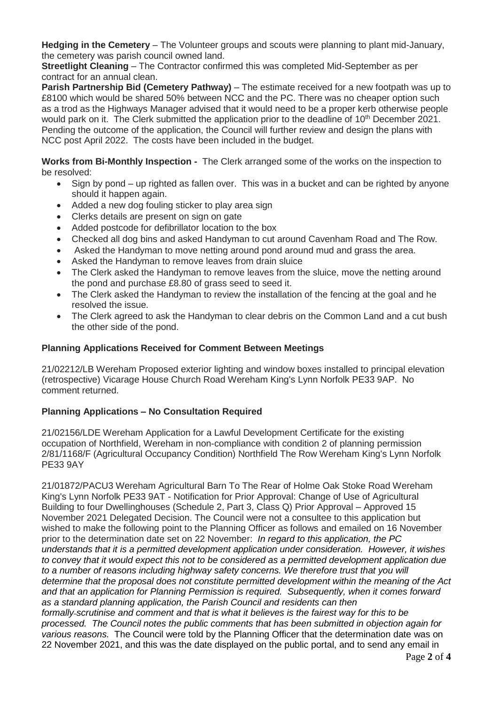**Hedging in the Cemetery** – The Volunteer groups and scouts were planning to plant mid-January, the cemetery was parish council owned land.

**Streetlight Cleaning** – The Contractor confirmed this was completed Mid-September as per contract for an annual clean.

**Parish Partnership Bid (Cemetery Pathway)** – The estimate received for a new footpath was up to £8100 which would be shared 50% between NCC and the PC. There was no cheaper option such as a trod as the Highways Manager advised that it would need to be a proper kerb otherwise people would park on it. The Clerk submitted the application prior to the deadline of 10<sup>th</sup> December 2021. Pending the outcome of the application, the Council will further review and design the plans with NCC post April 2022. The costs have been included in the budget.

**Works from Bi-Monthly Inspection -** The Clerk arranged some of the works on the inspection to be resolved:

- Sign by pond up righted as fallen over. This was in a bucket and can be righted by anyone should it happen again.
- Added a new dog fouling sticker to play area sign
- Clerks details are present on sign on gate
- Added postcode for defibrillator location to the box
- Checked all dog bins and asked Handyman to cut around Cavenham Road and The Row.
- Asked the Handyman to move netting around pond around mud and grass the area.
- Asked the Handyman to remove leaves from drain sluice
- The Clerk asked the Handyman to remove leaves from the sluice, move the netting around the pond and purchase £8.80 of grass seed to seed it.
- The Clerk asked the Handyman to review the installation of the fencing at the goal and he resolved the issue.
- The Clerk agreed to ask the Handyman to clear debris on the Common Land and a cut bush the other side of the pond.

### **Planning Applications Received for Comment Between Meetings**

21/02212/LB Wereham Proposed exterior lighting and window boxes installed to principal elevation (retrospective) Vicarage House Church Road Wereham King's Lynn Norfolk PE33 9AP. No comment returned.

# **Planning Applications – No Consultation Required**

21/02156/LDE Wereham Application for a Lawful Development Certificate for the existing occupation of Northfield, Wereham in non-compliance with condition 2 of planning permission 2/81/1168/F (Agricultural Occupancy Condition) Northfield The Row Wereham King's Lynn Norfolk PE33 9AY

21/01872/PACU3 Wereham Agricultural Barn To The Rear of Holme Oak Stoke Road Wereham King's Lynn Norfolk PE33 9AT - Notification for Prior Approval: Change of Use of Agricultural Building to four Dwellinghouses (Schedule 2, Part 3, Class Q) Prior Approval – Approved 15 November 2021 Delegated Decision. The Council were not a consultee to this application but wished to make the following point to the Planning Officer as follows and emailed on 16 November prior to the determination date set on 22 November: *In regard to this application, the PC understands that it is a permitted development application under consideration. However, it wishes to convey that it would expect this not to be considered as a permitted development application due to a number of reasons including highway safety concerns. We therefore trust that you will determine that the proposal does not constitute permitted development within the meaning of the Act and that an application for Planning Permission is required. Subsequently, when it comes forward as a standard planning application, the Parish Council and residents can then formally scrutinise and comment and that is what it believes is the fairest way for this to be processed. The Council notes the public comments that has been submitted in objection again for various reasons.* The Council were told by the Planning Officer that the determination date was on 22 November 2021, and this was the date displayed on the public portal, and to send any email in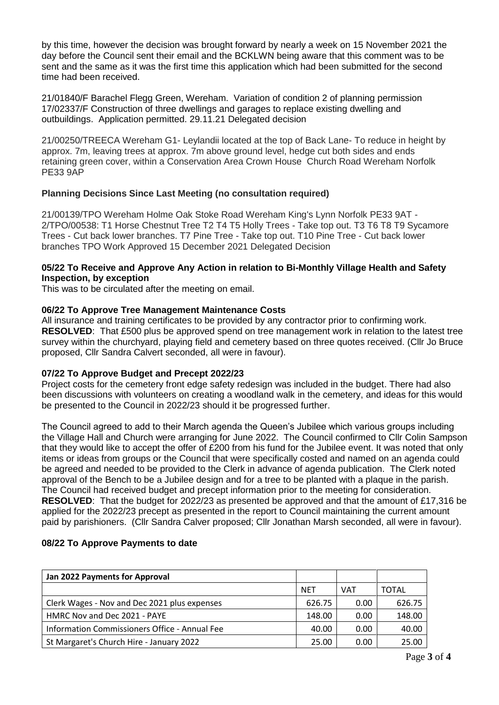by this time, however the decision was brought forward by nearly a week on 15 November 2021 the day before the Council sent their email and the BCKLWN being aware that this comment was to be sent and the same as it was the first time this application which had been submitted for the second time had been received.

21/01840/F Barachel Flegg Green, Wereham. Variation of condition 2 of planning permission 17/02337/F Construction of three dwellings and garages to replace existing dwelling and outbuildings. Application permitted. 29.11.21 Delegated decision

21/00250/TREECA Wereham G1- Leylandii located at the top of Back Lane- To reduce in height by approx. 7m, leaving trees at approx. 7m above ground level, hedge cut both sides and ends retaining green cover, within a Conservation Area Crown House Church Road Wereham Norfolk PE33 9AP

# **Planning Decisions Since Last Meeting (no consultation required)**

21/00139/TPO Wereham Holme Oak Stoke Road Wereham King's Lynn Norfolk PE33 9AT - 2/TPO/00538: T1 Horse Chestnut Tree T2 T4 T5 Holly Trees - Take top out. T3 T6 T8 T9 Sycamore Trees - Cut back lower branches. T7 Pine Tree - Take top out. T10 Pine Tree - Cut back lower branches TPO Work Approved 15 December 2021 Delegated Decision

### **05/22 To Receive and Approve Any Action in relation to Bi-Monthly Village Health and Safety Inspection, by exception**

This was to be circulated after the meeting on email.

### **06/22 To Approve Tree Management Maintenance Costs**

All insurance and training certificates to be provided by any contractor prior to confirming work. **RESOLVED**: That £500 plus be approved spend on tree management work in relation to the latest tree survey within the churchyard, playing field and cemetery based on three quotes received. (Cllr Jo Bruce proposed, Cllr Sandra Calvert seconded, all were in favour).

### **07/22 To Approve Budget and Precept 2022/23**

Project costs for the cemetery front edge safety redesign was included in the budget. There had also been discussions with volunteers on creating a woodland walk in the cemetery, and ideas for this would be presented to the Council in 2022/23 should it be progressed further.

The Council agreed to add to their March agenda the Queen's Jubilee which various groups including the Village Hall and Church were arranging for June 2022. The Council confirmed to Cllr Colin Sampson that they would like to accept the offer of £200 from his fund for the Jubilee event. It was noted that only items or ideas from groups or the Council that were specifically costed and named on an agenda could be agreed and needed to be provided to the Clerk in advance of agenda publication. The Clerk noted approval of the Bench to be a Jubilee design and for a tree to be planted with a plaque in the parish. The Council had received budget and precept information prior to the meeting for consideration. **RESOLVED**: That the budget for 2022/23 as presented be approved and that the amount of £17,316 be applied for the 2022/23 precept as presented in the report to Council maintaining the current amount paid by parishioners. (Cllr Sandra Calver proposed; Cllr Jonathan Marsh seconded, all were in favour).

### **08/22 To Approve Payments to date**

| Jan 2022 Payments for Approval                |            |            |        |
|-----------------------------------------------|------------|------------|--------|
|                                               | <b>NET</b> | <b>VAT</b> | TOTAL  |
| Clerk Wages - Nov and Dec 2021 plus expenses  | 626.75     | 0.00       | 626.75 |
| HMRC Nov and Dec 2021 - PAYE                  | 148.00     | 0.00       | 148.00 |
| Information Commissioners Office - Annual Fee | 40.00      | 0.00       | 40.00  |
| St Margaret's Church Hire - January 2022      | 25.00      | 0.00       | 25.00  |